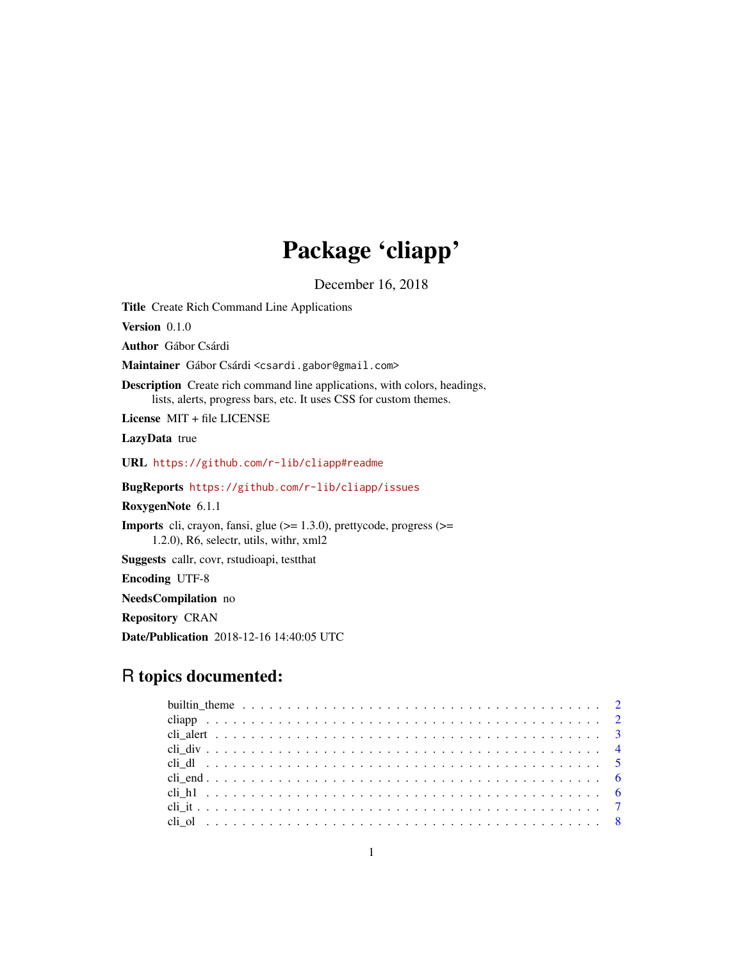# Package 'cliapp'

December 16, 2018

<span id="page-0-0"></span>Title Create Rich Command Line Applications

Version 0.1.0

Author Gábor Csárdi

Maintainer Gábor Csárdi <csardi.gabor@gmail.com>

Description Create rich command line applications, with colors, headings, lists, alerts, progress bars, etc. It uses CSS for custom themes.

License MIT + file LICENSE

LazyData true

URL <https://github.com/r-lib/cliapp#readme>

BugReports <https://github.com/r-lib/cliapp/issues>

RoxygenNote 6.1.1

Imports cli, crayon, fansi, glue (>= 1.3.0), prettycode, progress (>= 1.2.0), R6, selectr, utils, withr, xml2

Suggests callr, covr, rstudioapi, testthat

Encoding UTF-8

NeedsCompilation no

Repository CRAN

Date/Publication 2018-12-16 14:40:05 UTC

# R topics documented: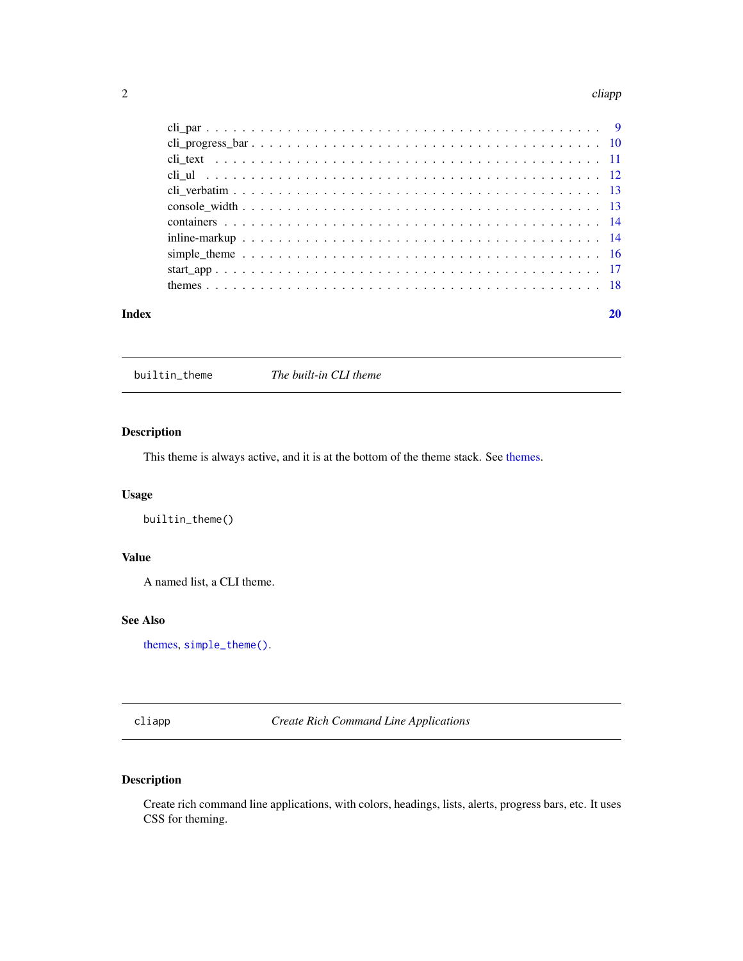#### <span id="page-1-0"></span>2 cliapp and the contract of the contract of the contract of the cliapp cliapp cliapp.

| Index |  |
|-------|--|

<span id="page-1-1"></span>builtin\_theme *The built-in CLI theme*

# Description

This theme is always active, and it is at the bottom of the theme stack. See [themes.](#page-17-1)

# Usage

builtin\_theme()

# Value

A named list, a CLI theme.

# See Also

[themes,](#page-17-1) [simple\\_theme\(\)](#page-15-1).

<span id="page-1-2"></span>cliapp *Create Rich Command Line Applications*

# Description

Create rich command line applications, with colors, headings, lists, alerts, progress bars, etc. It uses CSS for theming.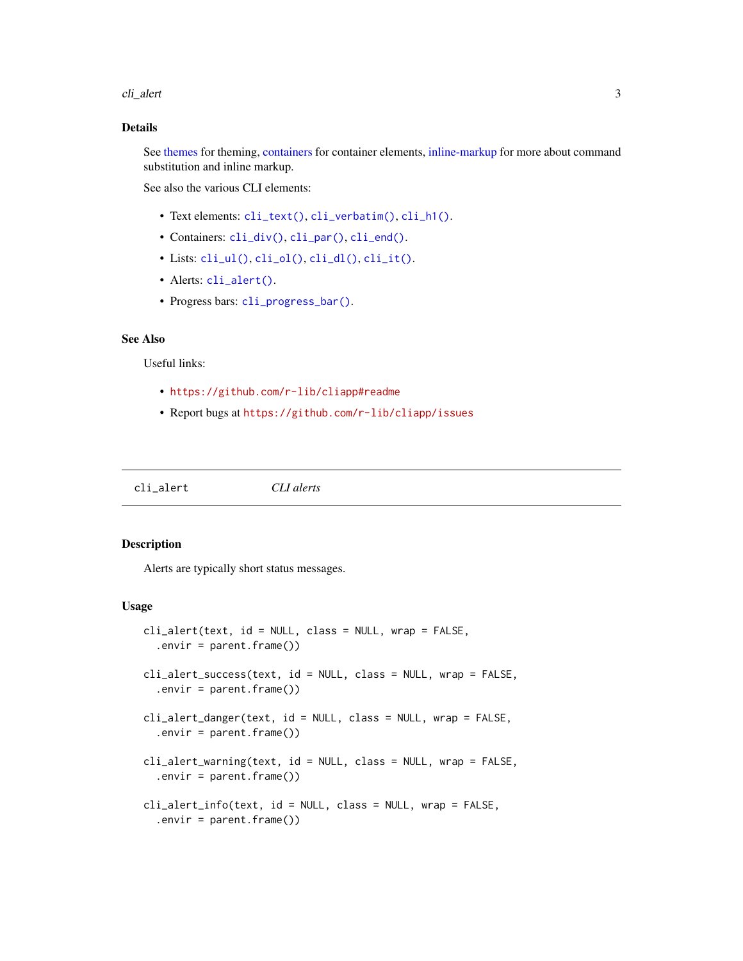<span id="page-2-0"></span>cli\_alert 3

# Details

See [themes](#page-17-1) for theming, [containers](#page-13-1) for container elements, [inline-markup](#page-13-2) for more about command substitution and inline markup.

See also the various CLI elements:

- Text elements: [cli\\_text\(\)](#page-10-1), [cli\\_verbatim\(\)](#page-12-1), [cli\\_h1\(\)](#page-5-1).
- Containers: [cli\\_div\(\)](#page-3-1), [cli\\_par\(\)](#page-8-1), [cli\\_end\(\)](#page-5-2).
- Lists: [cli\\_ul\(\)](#page-11-1), [cli\\_ol\(\)](#page-7-1), [cli\\_dl\(\)](#page-4-1), [cli\\_it\(\)](#page-6-1).
- Alerts: [cli\\_alert\(\)](#page-2-1).
- Progress bars: [cli\\_progress\\_bar\(\)](#page-9-1).

# See Also

Useful links:

- <https://github.com/r-lib/cliapp#readme>
- Report bugs at <https://github.com/r-lib/cliapp/issues>

<span id="page-2-1"></span>cli\_alert *CLI alerts*

#### Description

Alerts are typically short status messages.

# Usage

```
cli_alert(text, id = NULL, class = NULL, wrap = FALSE,
  .envir = parent.frame())cli_alert_success(text, id = NULL, class = NULL, wrap = FALSE,
  .envir = parent.frame()cli_alert_danger(text, id = NULL, class = NULL, wrap = FALSE,
  .envir = parent.frame()cli_alert_warning(text, id = NULL, class = NULL, wrap = FALSE,
  .envir = parent.frame()cli_alert_info(text, id = NULL, class = NULL, wrap = FALSE,
  .envir = parent.frame()
```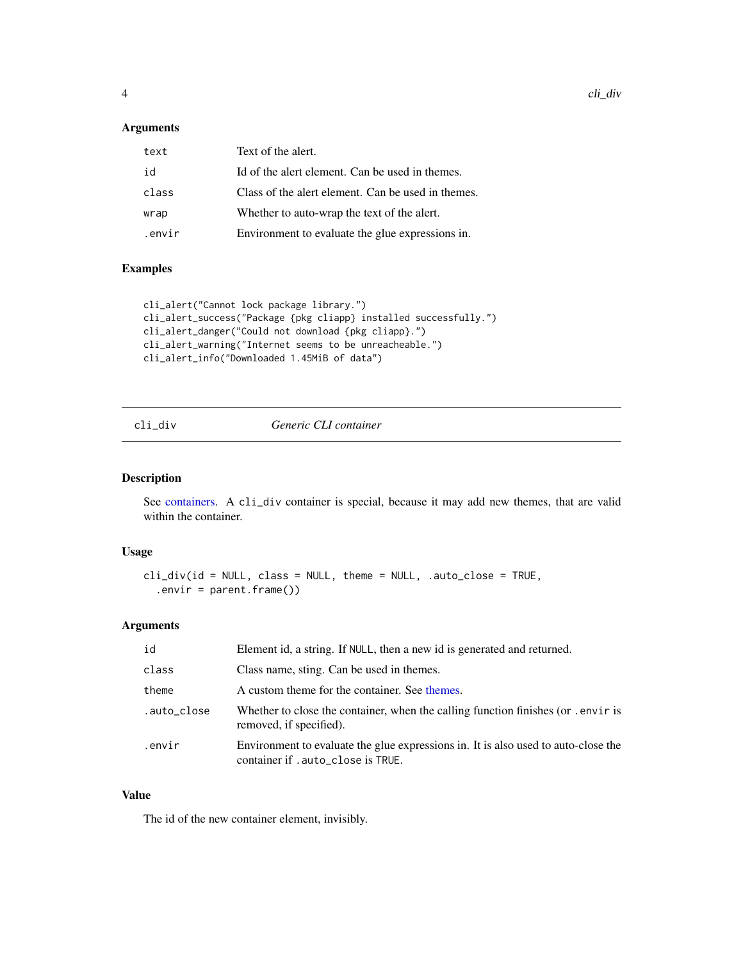# <span id="page-3-0"></span>Arguments

| text   | Text of the alert.                                 |
|--------|----------------------------------------------------|
| id     | Id of the alert element. Can be used in themes.    |
| class  | Class of the alert element. Can be used in themes. |
| wrap   | Whether to auto-wrap the text of the alert.        |
| .envir | Environment to evaluate the glue expressions in.   |
|        |                                                    |

# Examples

```
cli_alert("Cannot lock package library.")
cli_alert_success("Package {pkg cliapp} installed successfully.")
cli_alert_danger("Could not download {pkg cliapp}.")
cli_alert_warning("Internet seems to be unreacheable.")
cli_alert_info("Downloaded 1.45MiB of data")
```
<span id="page-3-1"></span>

|  | dıv |  |
|--|-----|--|
|  |     |  |

# Generic CLI container

# Description

See [containers.](#page-13-1) A cli\_div container is special, because it may add new themes, that are valid within the container.

# Usage

```
cli_div(id = NULL, class = NULL, theme = NULL, .auto_close = TRUE,
  .envir = parent.frame())
```
# Arguments

| id          | Element id, a string. If NULL, then a new id is generated and returned.                                                  |
|-------------|--------------------------------------------------------------------------------------------------------------------------|
| class       | Class name, sting. Can be used in themes.                                                                                |
| theme       | A custom theme for the container. See themes.                                                                            |
| .auto_close | Whether to close the container, when the calling function finishes (or .envir is<br>removed, if specified).              |
| .envir      | Environment to evaluate the glue expressions in. It is also used to auto-close the<br>container if . auto_close is TRUE. |

# Value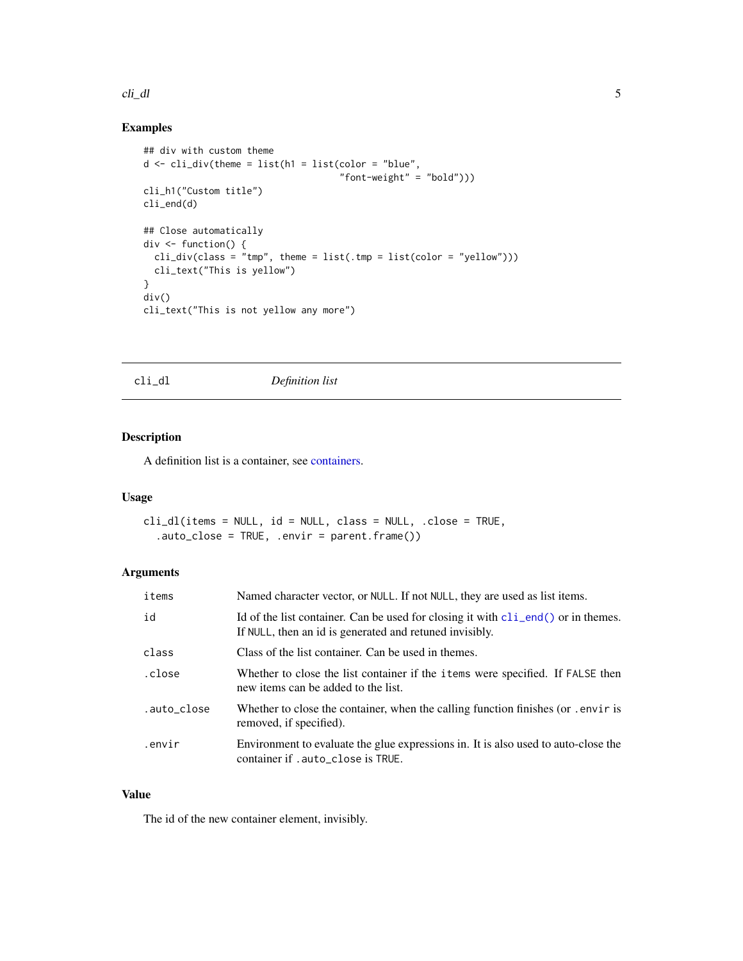#### <span id="page-4-0"></span>cli\_dl 5

# Examples

```
## div with custom theme
d <- cli_div(theme = list(h1 = list(color = "blue",
                                    "font-weight" = "bold")))
cli_h1("Custom title")
cli_end(d)
## Close automatically
div <- function() {
  cli\_div(class = "tmp", then = list(.tmp = list(color = "yellow"))cli_text("This is yellow")
}
div()
cli_text("This is not yellow any more")
```
<span id="page-4-1"></span>cli\_dl *Definition list*

# Description

A definition list is a container, see [containers.](#page-13-1)

# Usage

cli\_dl(items = NULL, id = NULL, class = NULL, .close = TRUE, .auto\_close = TRUE, .envir = parent.frame())

# Arguments

| items       | Named character vector, or NULL. If not NULL, they are used as list items.                                                                             |
|-------------|--------------------------------------------------------------------------------------------------------------------------------------------------------|
| id          | Id of the list container. Can be used for closing it with $\text{cli\_end}()$ or in themes.<br>If NULL, then an id is generated and retuned invisibly. |
| class       | Class of the list container. Can be used in themes.                                                                                                    |
| .close      | Whether to close the list container if the items were specified. If FALSE then<br>new items can be added to the list.                                  |
| .auto_close | Whether to close the container, when the calling function finishes (or . envir is<br>removed, if specified).                                           |
| .envir      | Environment to evaluate the glue expressions in. It is also used to auto-close the<br>container if . auto_close is TRUE.                               |

# Value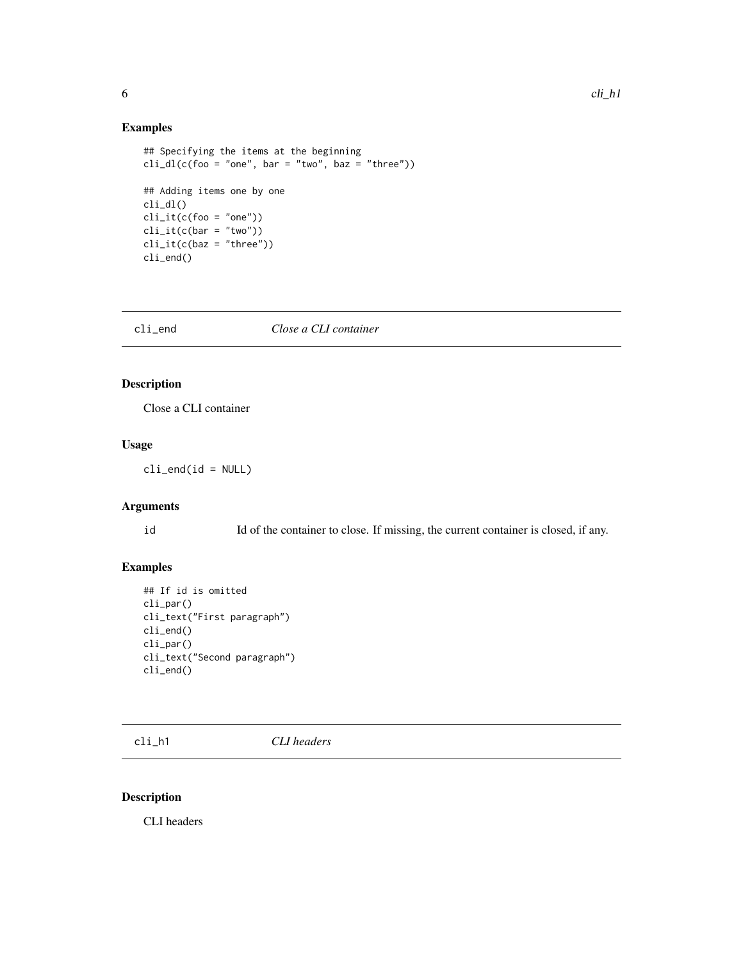# Examples

```
## Specifying the items at the beginning
cli_dl(c(foo = "one", bar = "two", baz = "three"))## Adding items one by one
cli_dl()
cli\_it(c(foo = "one"))cli\_it(c(bar = "two"))cli\_it(c(baz = "three"))cli_end()
```
<span id="page-5-2"></span>cli\_end *Close a CLI container*

# Description

Close a CLI container

### Usage

 $cli$ <sub>\_</sub>end( $id$  = NULL)

# Arguments

id Id of the container to close. If missing, the current container is closed, if any.

# Examples

```
## If id is omitted
cli_par()
cli_text("First paragraph")
cli_end()
cli_par()
cli_text("Second paragraph")
cli_end()
```
<span id="page-5-1"></span>cli\_h1 *CLI headers*

# Description

CLI headers

<span id="page-5-0"></span>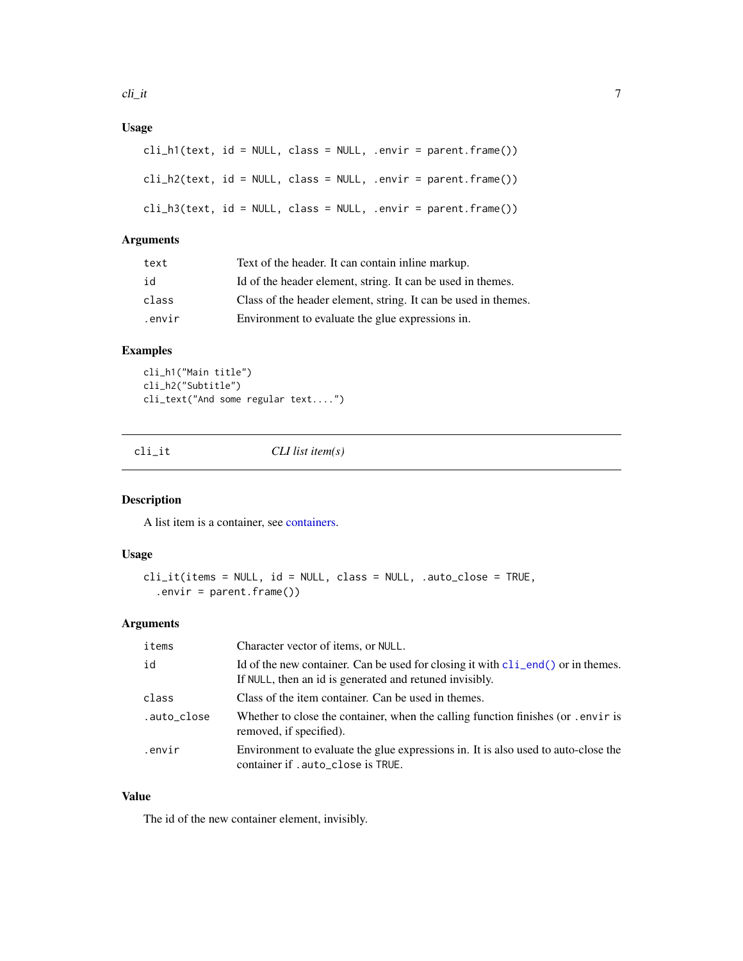<span id="page-6-0"></span>cli\_it 7

# Usage

|  |  |  | cli_h1(text, id = NULL, class = NULL, .envir = parent.frame()) |
|--|--|--|----------------------------------------------------------------|
|  |  |  | cli_h2(text, id = NULL, class = NULL, .envir = parent.frame()) |
|  |  |  | cli_h3(text, id = NULL, class = NULL, .envir = parent.frame()) |

# Arguments

| text   | Text of the header. It can contain in line markup.             |
|--------|----------------------------------------------------------------|
| id     | Id of the header element, string. It can be used in themes.    |
| class  | Class of the header element, string. It can be used in themes. |
| .envir | Environment to evaluate the glue expressions in.               |

# Examples

cli\_h1("Main title") cli\_h2("Subtitle") cli\_text("And some regular text....")

<span id="page-6-1"></span>cli\_it *CLI list item(s)*

# Description

A list item is a container, see [containers.](#page-13-1)

# Usage

```
cli_it(items = NULL, id = NULL, class = NULL, .auto_close = TRUE,
  .envir = parent.frame())
```
# Arguments

| items       | Character vector of items, or NULL.                                                                                                                                 |
|-------------|---------------------------------------------------------------------------------------------------------------------------------------------------------------------|
| id          | Id of the new container. Can be used for closing it with $\text{cl}_\text{1}\text{end}()$ or in the mes.<br>If NULL, then an id is generated and retuned invisibly. |
| class       | Class of the item container. Can be used in themes.                                                                                                                 |
| .auto_close | Whether to close the container, when the calling function finishes (or . envir is<br>removed, if specified).                                                        |
| .envir      | Environment to evaluate the glue expressions in. It is also used to auto-close the<br>container if .auto_close is TRUE.                                             |

# Value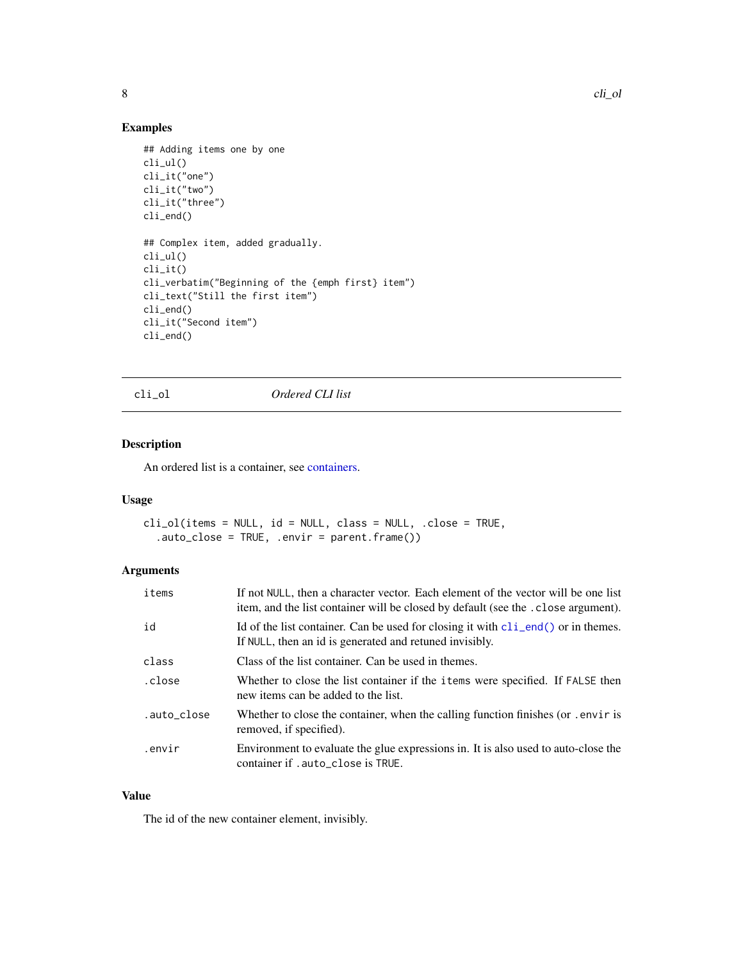# Examples

```
## Adding items one by one
cli_ul()
cli_it("one")
cli_it("two")
cli_it("three")
cli_end()
## Complex item, added gradually.
cli_ul()
cli_it()
cli_verbatim("Beginning of the {emph first} item")
cli_text("Still the first item")
cli_end()
cli_it("Second item")
cli_end()
```
<span id="page-7-1"></span>cli\_ol *Ordered CLI list*

# Description

An ordered list is a container, see [containers.](#page-13-1)

# Usage

```
cli_ol(items = NULL, id = NULL, class = NULL, .close = TRUE,
  .auto_close = TRUE, .envir = parent.frame())
```
# Arguments

| items       | If not NULL, then a character vector. Each element of the vector will be one list<br>item, and the list container will be closed by default (see the . close argument). |
|-------------|-------------------------------------------------------------------------------------------------------------------------------------------------------------------------|
| id          | Id of the list container. Can be used for closing it with $\text{cli\_end}()$ or in themes.<br>If NULL, then an id is generated and retuned invisibly.                  |
| class       | Class of the list container. Can be used in themes.                                                                                                                     |
| .close      | Whether to close the list container if the <i>i</i> tems were specified. If FALSE then<br>new items can be added to the list.                                           |
| .auto_close | Whether to close the container, when the calling function finishes (or . envir is<br>removed, if specified).                                                            |
| .envir      | Environment to evaluate the glue expressions in. It is also used to auto-close the<br>container if .auto_close is TRUE.                                                 |

# Value

<span id="page-7-0"></span>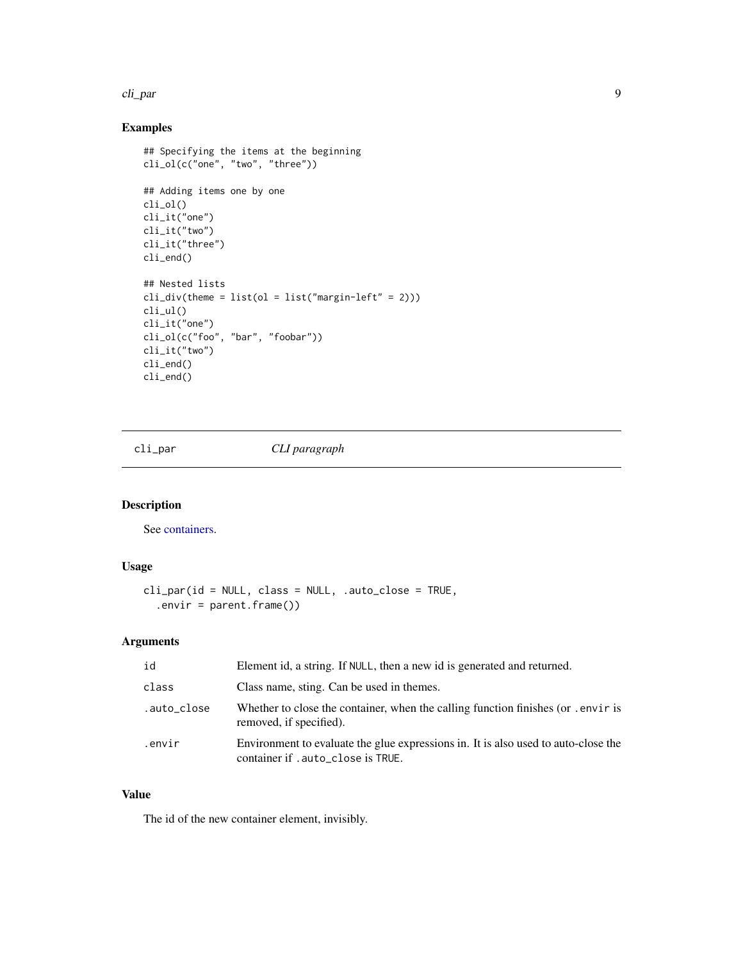#### <span id="page-8-0"></span>cli\_par 9

# Examples

```
## Specifying the items at the beginning
cli_ol(c("one", "two", "three"))
## Adding items one by one
cli_ol()
cli_it("one")
cli_it("two")
cli_it("three")
cli_end()
## Nested lists
cli\_div(theme = list(o1 = list("margin-left" = 2)))cli_ul()
cli_it("one")
cli_ol(c("foo", "bar", "foobar"))
cli_it("two")
cli_end()
cli_end()
```
<span id="page-8-1"></span>cli\_par *CLI paragraph*

# Description

See [containers.](#page-13-1)

# Usage

```
cli_par(id = NULL, class = NULL, .auto_close = TRUE,
  .envir = parent.frame()
```
# Arguments

| id          | Element id, a string. If NULL, then a new id is generated and returned.                                                  |
|-------------|--------------------------------------------------------------------------------------------------------------------------|
| class       | Class name, sting. Can be used in themes.                                                                                |
| .auto_close | Whether to close the container, when the calling function finishes (or .envir is<br>removed, if specified).              |
| .envir      | Environment to evaluate the glue expressions in. It is also used to auto-close the<br>container if . auto_close is TRUE. |

# Value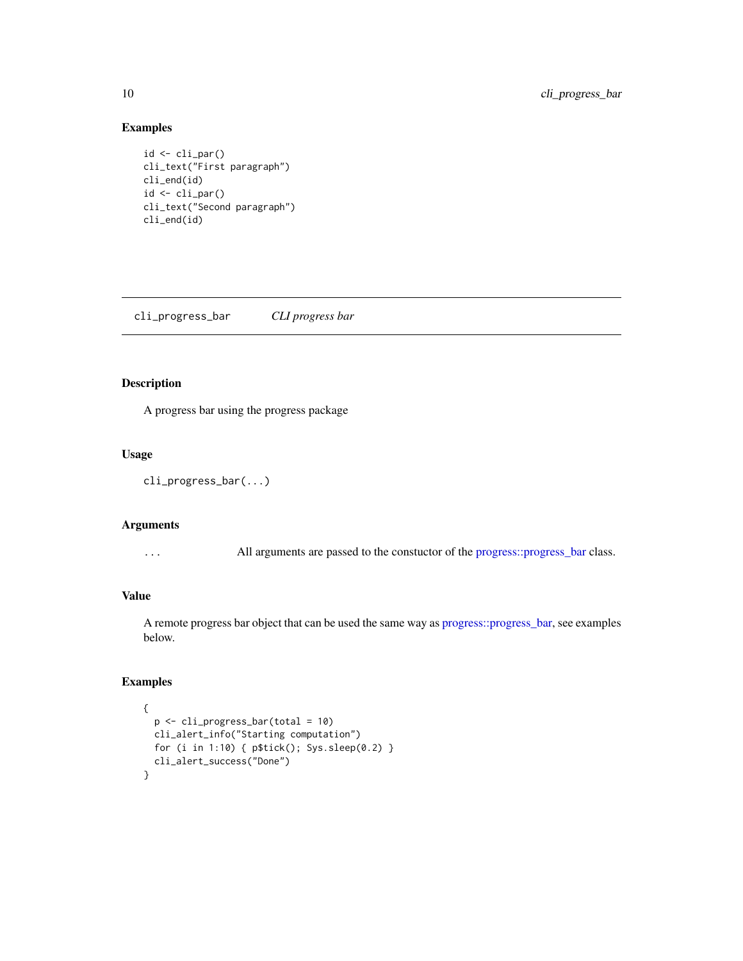# Examples

```
id <- cli_par()
cli_text("First paragraph")
cli_end(id)
id <- cli_par()
cli_text("Second paragraph")
cli_end(id)
```
<span id="page-9-1"></span>cli\_progress\_bar *CLI progress bar*

# Description

A progress bar using the progress package

# Usage

```
cli_progress_bar(...)
```
#### Arguments

... All arguments are passed to the constuctor of the [progress::progress\\_bar](#page-0-0) class.

# Value

A remote progress bar object that can be used the same way as [progress::progress\\_bar,](#page-0-0) see examples below.

```
{
  p <- cli_progress_bar(total = 10)
  cli_alert_info("Starting computation")
  for (i in 1:10) { p$tick(); Sys.sleep(0.2) }
  cli_alert_success("Done")
}
```
<span id="page-9-0"></span>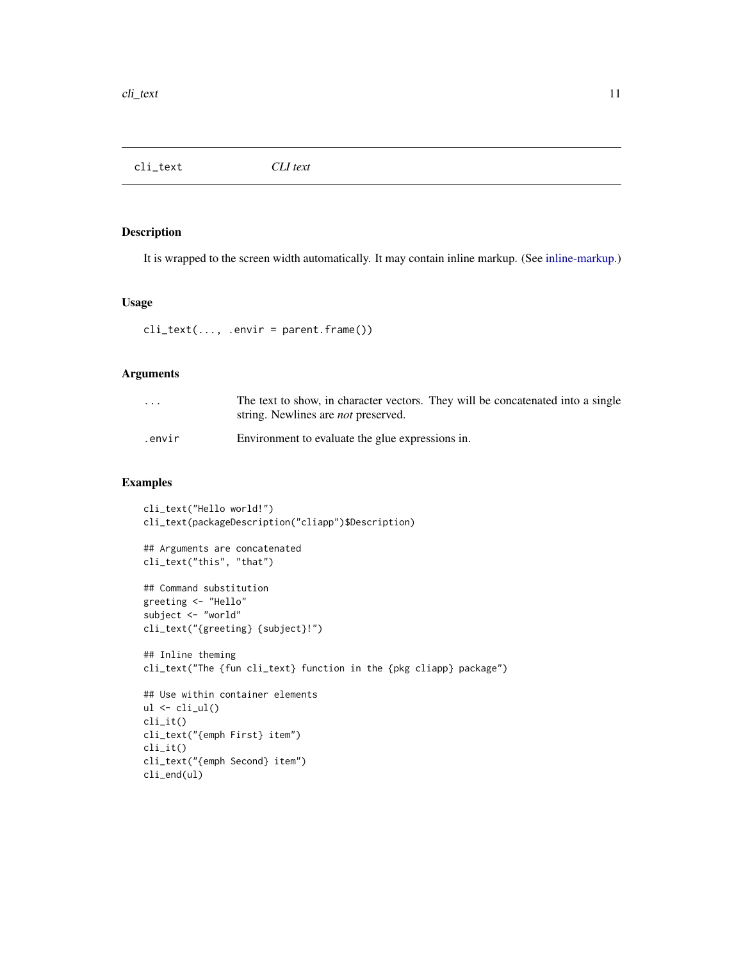<span id="page-10-1"></span><span id="page-10-0"></span>cli\_text *CLI text*

# Description

It is wrapped to the screen width automatically. It may contain inline markup. (See [inline-markup.](#page-13-2))

### Usage

 $cli_text(..., .envir = parent.frame())$ 

# Arguments

| $\cdots$ | The text to show, in character vectors. They will be concatenated into a single<br>string. Newlines are <i>not</i> preserved. |
|----------|-------------------------------------------------------------------------------------------------------------------------------|
| .envir   | Environment to evaluate the glue expressions in.                                                                              |

```
cli_text("Hello world!")
cli_text(packageDescription("cliapp")$Description)
## Arguments are concatenated
cli_text("this", "that")
## Command substitution
greeting <- "Hello"
subject <- "world"
cli_text("{greeting} {subject}!")
## Inline theming
cli_text("The {fun cli_text} function in the {pkg cliapp} package")
## Use within container elements
ul \leftarrow \text{cli}_\text{ul}()cli_it()
cli_text("{emph First} item")
cli_it()
cli_text("{emph Second} item")
cli_end(ul)
```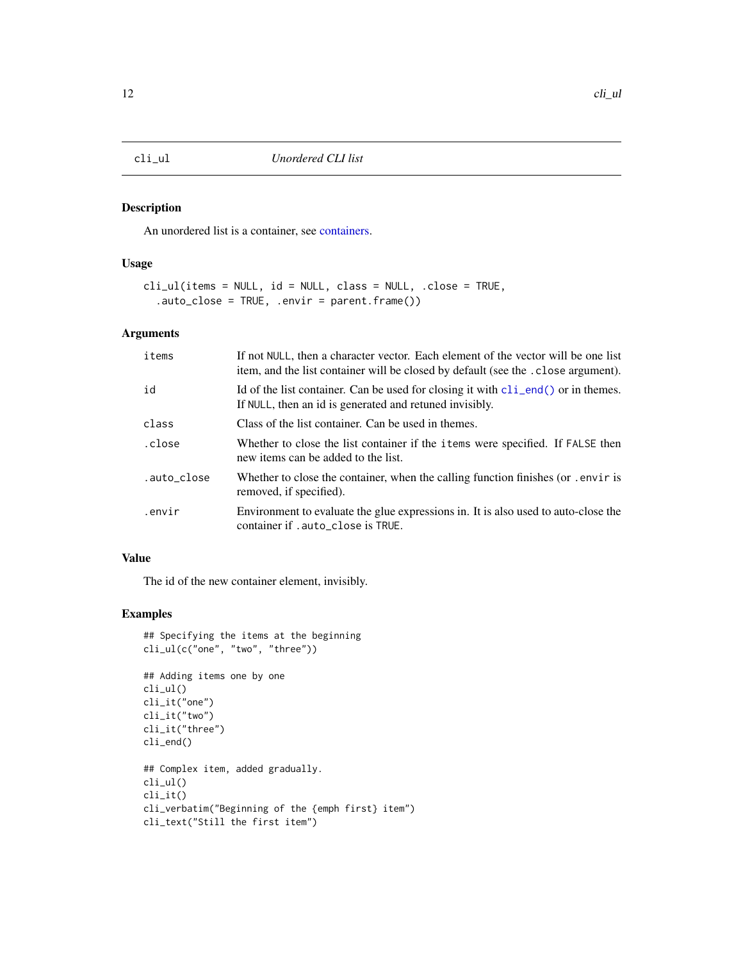<span id="page-11-1"></span><span id="page-11-0"></span>

# Description

An unordered list is a container, see [containers.](#page-13-1)

# Usage

```
cli_ul(items = NULL, id = NULL, class = NULL, .close = TRUE,
  .auto_close = TRUE, .envir = parent.frame())
```
# Arguments

| items       | If not NULL, then a character vector. Each element of the vector will be one list<br>item, and the list container will be closed by default (see the . close argument). |
|-------------|-------------------------------------------------------------------------------------------------------------------------------------------------------------------------|
| id          | Id of the list container. Can be used for closing it with $\text{cli\_end}()$ or in themes.<br>If NULL, then an id is generated and retuned invisibly.                  |
| class       | Class of the list container. Can be used in themes.                                                                                                                     |
| .close      | Whether to close the list container if the items were specified. If FALSE then<br>new items can be added to the list.                                                   |
| .auto_close | Whether to close the container, when the calling function finishes (or . envir is<br>removed, if specified).                                                            |
| .envir      | Environment to evaluate the glue expressions in. It is also used to auto-close the<br>container if .auto_close is TRUE.                                                 |

# Value

The id of the new container element, invisibly.

```
## Specifying the items at the beginning
cli_ul(c("one", "two", "three"))
## Adding items one by one
cli_ul()
cli_it("one")
cli_it("two")
cli_it("three")
cli_end()
## Complex item, added gradually.
cli_ul()
cli_it()
cli_verbatim("Beginning of the {emph first} item")
cli_text("Still the first item")
```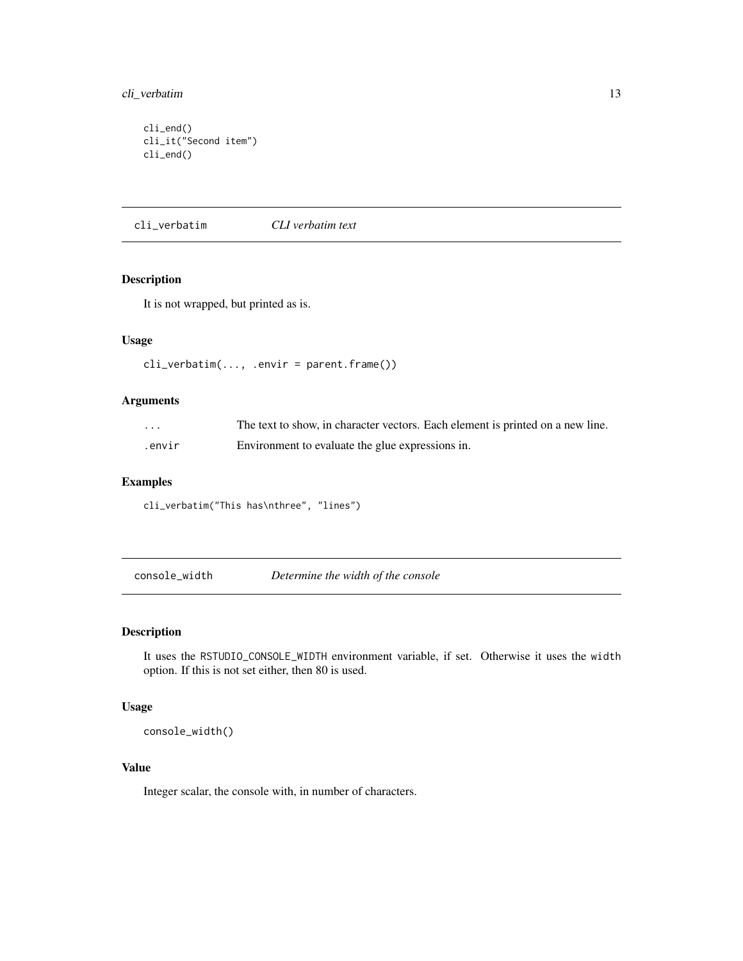# <span id="page-12-0"></span>cli\_verbatim 13

cli\_end() cli\_it("Second item") cli\_end()

<span id="page-12-1"></span>cli\_verbatim *CLI verbatim text*

# Description

It is not wrapped, but printed as is.

# Usage

cli\_verbatim(..., .envir = parent.frame())

# Arguments

| .      | The text to show, in character vectors. Each element is printed on a new line. |
|--------|--------------------------------------------------------------------------------|
| .envir | Environment to evaluate the glue expressions in.                               |

### Examples

cli\_verbatim("This has\nthree", "lines")

console\_width *Determine the width of the console*

# Description

It uses the RSTUDIO\_CONSOLE\_WIDTH environment variable, if set. Otherwise it uses the width option. If this is not set either, then 80 is used.

# Usage

console\_width()

# Value

Integer scalar, the console with, in number of characters.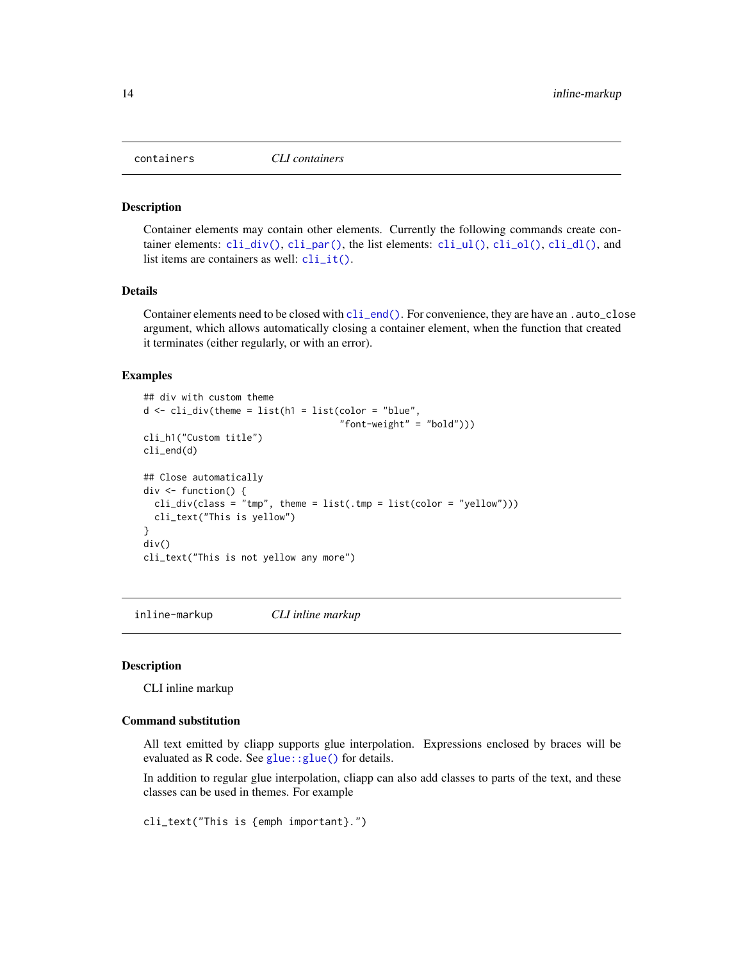<span id="page-13-1"></span><span id="page-13-0"></span>

#### Description

Container elements may contain other elements. Currently the following commands create container elements:  $\text{cli\_div}()$ ,  $\text{cli\_par}()$ , the list elements:  $\text{cli\_ul}()$ ,  $\text{cli\_dl}()$ ,  $\text{cli\_dl}()$ , and list items are containers as well:  $\text{cli\_it}()$ .

#### Details

Container elements need to be closed with [cli\\_end\(\)](#page-5-2). For convenience, they are have an .auto\_close argument, which allows automatically closing a container element, when the function that created it terminates (either regularly, or with an error).

#### Examples

```
## div with custom theme
d \leq \text{cli}_div(\text{theme} = \text{list}(\text{h1} = \text{list}(\text{color} = \text{"blue",}"font-weight" = "bold")))
cli_h1("Custom title")
cli_end(d)
## Close automatically
div \le function() {
  cli\_div(class = "tmp", then = list(.tmp = list(color = "yellow"))cli_text("This is yellow")
}
div()
cli_text("This is not yellow any more")
```
<span id="page-13-2"></span>inline-markup *CLI inline markup*

#### Description

CLI inline markup

# Command substitution

All text emitted by cliapp supports glue interpolation. Expressions enclosed by braces will be evaluated as R code. See glue:: glue() for details.

In addition to regular glue interpolation, cliapp can also add classes to parts of the text, and these classes can be used in themes. For example

cli\_text("This is {emph important}.")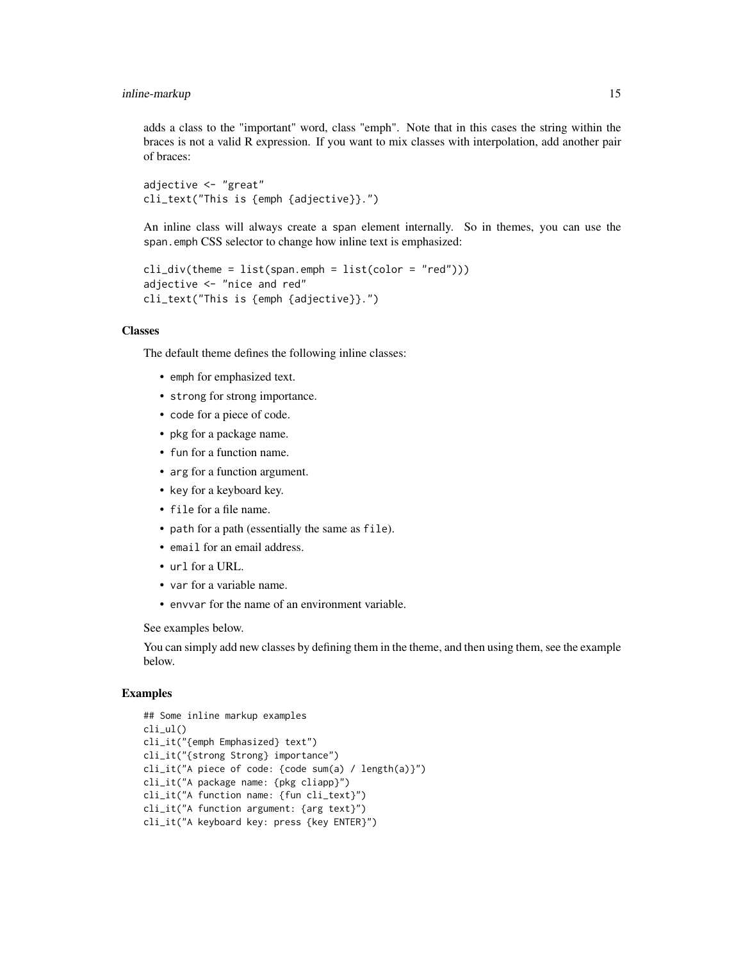adds a class to the "important" word, class "emph". Note that in this cases the string within the braces is not a valid R expression. If you want to mix classes with interpolation, add another pair of braces:

```
adjective <- "great"
cli_text("This is {emph {adjective}}.")
```
An inline class will always create a span element internally. So in themes, you can use the span.emph CSS selector to change how inline text is emphasized:

```
cli\_div(theme = list(span.emph = list(color = "red"))adjective <- "nice and red"
cli_text("This is {emph {adjective}}.")
```
#### Classes

The default theme defines the following inline classes:

- emph for emphasized text.
- strong for strong importance.
- code for a piece of code.
- pkg for a package name.
- fun for a function name.
- arg for a function argument.
- key for a keyboard key.
- file for a file name.
- path for a path (essentially the same as file).
- email for an email address.
- url for a URL.
- var for a variable name.
- envvar for the name of an environment variable.

See examples below.

You can simply add new classes by defining them in the theme, and then using them, see the example below.

```
## Some inline markup examples
cli_ul()
cli_it("{emph Emphasized} text")
cli_it("{strong Strong} importance")
cli_it("A piece of code: {code sum(a) / length(a)}")
cli_it("A package name: {pkg cliapp}")
cli_it("A function name: {fun cli_text}")
cli_it("A function argument: {arg text}")
cli_it("A keyboard key: press {key ENTER}")
```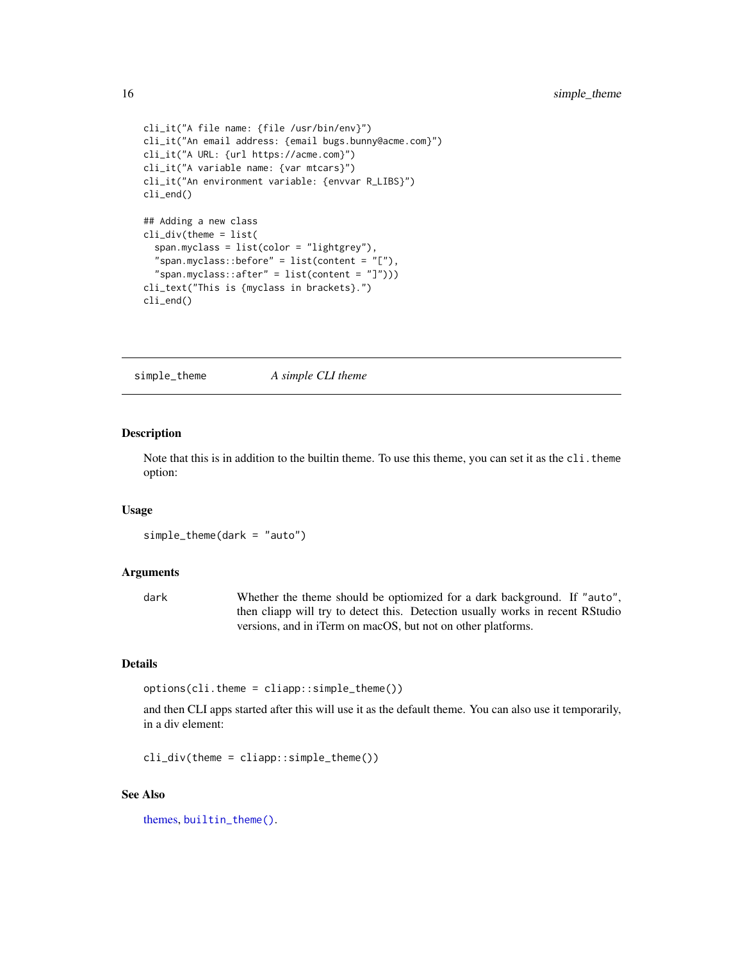```
cli_it("A file name: {file /usr/bin/env}")
cli_it("An email address: {email bugs.bunny@acme.com}")
cli_it("A URL: {url https://acme.com}")
cli_it("A variable name: {var mtcars}")
cli_it("An environment variable: {envvar R_LIBS}")
cli_end()
## Adding a new class
cli_div(theme = list(
 span.myclass = list(color = "lightgrey"),
  "span.myclass::before" = list(content = "[''),"span.myclass::after" = list(content = "]")))
cli_text("This is {myclass in brackets}.")
cli_end()
```
<span id="page-15-1"></span>simple\_theme *A simple CLI theme*

# Description

Note that this is in addition to the builtin theme. To use this theme, you can set it as the cli.theme option:

#### Usage

simple\_theme(dark = "auto")

#### Arguments

dark Whether the theme should be optiomized for a dark background. If "auto", then cliapp will try to detect this. Detection usually works in recent RStudio versions, and in iTerm on macOS, but not on other platforms.

# Details

options(cli.theme = cliapp::simple\_theme())

and then CLI apps started after this will use it as the default theme. You can also use it temporarily, in a div element:

 $cli\_div(theme = cliapp::simple\_theme()$ 

# See Also

[themes,](#page-17-1) [builtin\\_theme\(\)](#page-1-1).

<span id="page-15-0"></span>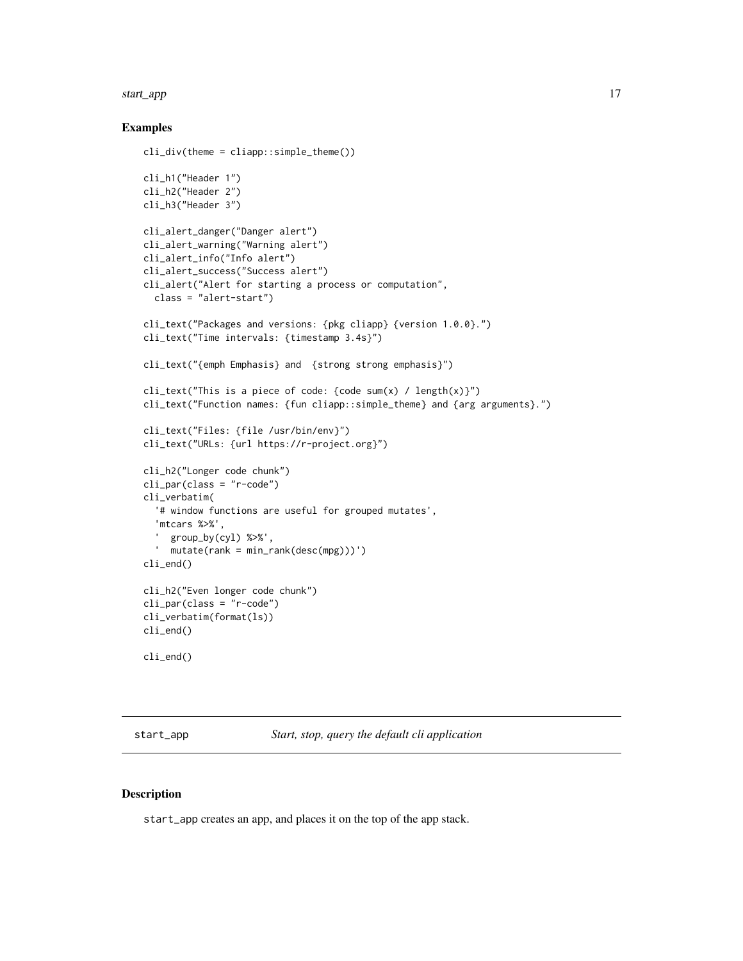#### <span id="page-16-0"></span>start\_app 17

### Examples

```
cli_div(theme = clique::simple_theme()cli_h1("Header 1")
cli_h2("Header 2")
cli_h3("Header 3")
cli_alert_danger("Danger alert")
cli_alert_warning("Warning alert")
cli_alert_info("Info alert")
cli_alert_success("Success alert")
cli_alert("Alert for starting a process or computation",
  class = "alert-start")
cli_text("Packages and versions: {pkg cliapp} {version 1.0.0}.")
cli_text("Time intervals: {timestamp 3.4s}")
cli_text("{emph Emphasis} and {strong strong emphasis}")
cli_text("This is a piece of code: {code sum(x) / length(x)}")
cli_text("Function names: {fun cliapp::simple_theme} and {arg arguments}.")
cli_text("Files: {file /usr/bin/env}")
cli_text("URLs: {url https://r-project.org}")
cli_h2("Longer code chunk")
cli_par(class = "r-code")
cli_verbatim(
  '# window functions are useful for grouped mutates',
  'mtcars %>%',
     group_by(cyl) %>%',
  ' mutate(rank = min_rank(desc(mpg)))')
cli_end()
cli_h2("Even longer code chunk")
cli_par(class = "r-code")
cli_verbatim(format(ls))
cli_end()
cli_end()
```
<span id="page-16-1"></span>start\_app *Start, stop, query the default cli application*

# **Description**

start\_app creates an app, and places it on the top of the app stack.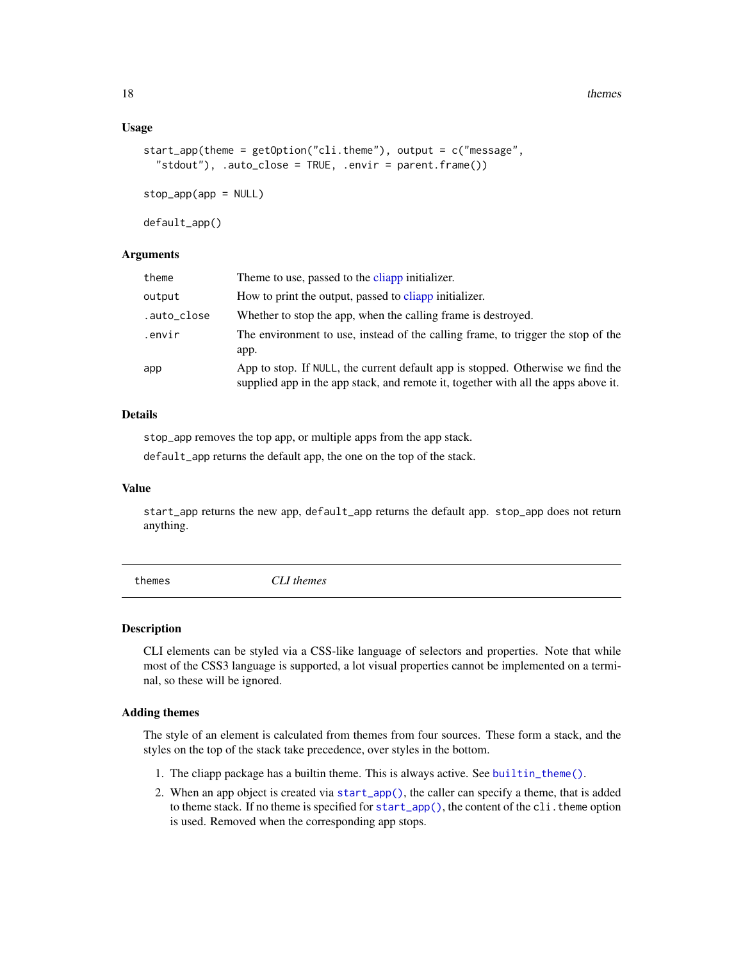<span id="page-17-0"></span>18 themes themes themes themes themes themes themes themes themes themes themes themes themes themes themes themes themes themes themes themes themes themes themes themes themes themes themes themes themes themes themes th

#### Usage

```
start_app(theme = getOption("cli.theme"), output = c("message",
  "stdout"), .auto_close = TRUE, .envir = parent.frame())
stop_app(app = NULL)
```
default\_app()

# **Arguments**

| theme       | Theme to use, passed to the cliapp initializer.                                                                                                                       |
|-------------|-----------------------------------------------------------------------------------------------------------------------------------------------------------------------|
| output      | How to print the output, passed to cliapp initializer.                                                                                                                |
| .auto_close | Whether to stop the app, when the calling frame is destroyed.                                                                                                         |
| .envir      | The environment to use, instead of the calling frame, to trigger the stop of the<br>app.                                                                              |
| app         | App to stop. If NULL, the current default app is stopped. Otherwise we find the<br>supplied app in the app stack, and remote it, together with all the apps above it. |

# Details

stop\_app removes the top app, or multiple apps from the app stack.

default\_app returns the default app, the one on the top of the stack.

# Value

start\_app returns the new app, default\_app returns the default app. stop\_app does not return anything.

<span id="page-17-1"></span>themes *CLI themes*

# Description

CLI elements can be styled via a CSS-like language of selectors and properties. Note that while most of the CSS3 language is supported, a lot visual properties cannot be implemented on a terminal, so these will be ignored.

# Adding themes

The style of an element is calculated from themes from four sources. These form a stack, and the styles on the top of the stack take precedence, over styles in the bottom.

- 1. The cliapp package has a builtin theme. This is always active. See [builtin\\_theme\(\)](#page-1-1).
- 2. When an app object is created via [start\\_app\(\)](#page-16-1), the caller can specify a theme, that is added to theme stack. If no theme is specified for [start\\_app\(\)](#page-16-1), the content of the cli. theme option is used. Removed when the corresponding app stops.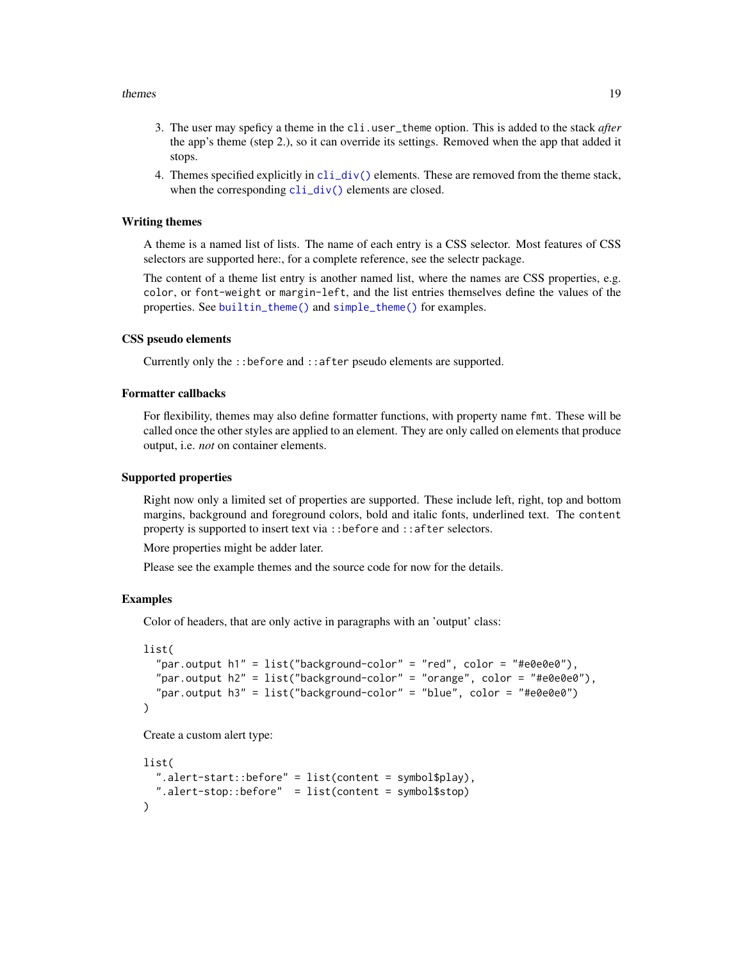#### <span id="page-18-0"></span>themes and the state of the state of the state of the state of the state of the state of the state of the state of the state of the state of the state of the state of the state of the state of the state of the state of the

- 3. The user may speficy a theme in the cli.user\_theme option. This is added to the stack *after* the app's theme (step 2.), so it can override its settings. Removed when the app that added it stops.
- 4. Themes specified explicitly in  $\text{cli\_div}()$  elements. These are removed from the theme stack, when the corresponding  $cli\_div()$  elements are closed.

#### Writing themes

A theme is a named list of lists. The name of each entry is a CSS selector. Most features of CSS selectors are supported here:, for a complete reference, see the selectr package.

The content of a theme list entry is another named list, where the names are CSS properties, e.g. color, or font-weight or margin-left, and the list entries themselves define the values of the properties. See [builtin\\_theme\(\)](#page-1-1) and [simple\\_theme\(\)](#page-15-1) for examples.

#### CSS pseudo elements

Currently only the ::before and ::after pseudo elements are supported.

# Formatter callbacks

For flexibility, themes may also define formatter functions, with property name fmt. These will be called once the other styles are applied to an element. They are only called on elements that produce output, i.e. *not* on container elements.

#### Supported properties

Right now only a limited set of properties are supported. These include left, right, top and bottom margins, background and foreground colors, bold and italic fonts, underlined text. The content property is supported to insert text via ::before and ::after selectors.

More properties might be adder later.

Please see the example themes and the source code for now for the details.

# Examples

Color of headers, that are only active in paragraphs with an 'output' class:

```
list(
  "par.output h1" = list("background-color" = "red", color = "#e0e0e0"),
  "par.output h2" = list("background-color" = "orange", color = "#e0e0e0"),
  "par.output h3" = list("background-color" = "blue", color = "#e0e0e0")
)
```
Create a custom alert type:

```
list(
  ".alert-start::before" = list(content = symbol$play),
  ".alert-stop::before" = list(content = symbol$stop)
)
```